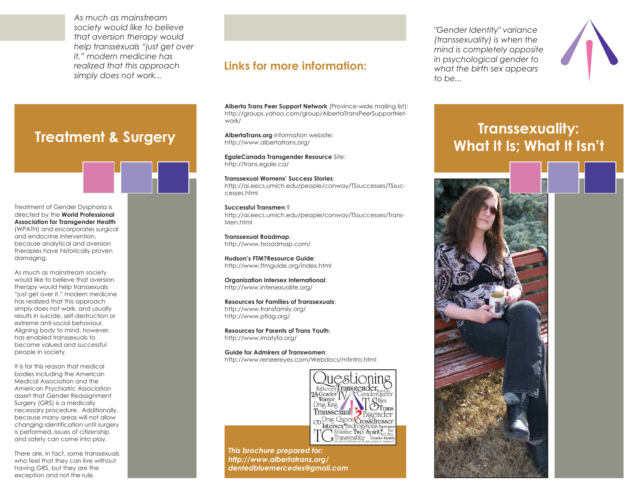*As much as mainstream society would like to believe that aversion therapy would help transsexuals "just get over it," modern medicine has realized that this approach simply does not work...*

**Treatment & Surgery**

Treatment of Gender Dysphoria is directed by the **World Professional Association for Transgender Health** (WPATH) and encorporates surgical and endocrine intervention, because analytical and aversion therapies have historically proven damaging.

As much as mainstream society would like to believe that aversion therapy would help transsexuals "just get over it," modern medicine has realized that this approach simply does not work, and usually results in suicide, self-destruction or extreme anti-social behaviour. Aligning body to mind, however, has enabled transsexuals to become valued and successful people in society.

It is for this reason that medical bodies including the American Medical Association and the American Psychiatric Association assert that Gender Reassignment Surgery (GRS) is a medically necessary procedure. Additionally, because many areas will not allow changing identification until surgery is performed, issues of citizenship and safety can come into play.

There are, in fact, some transsexuals who feel that they can live without having GRS, but they are the exception and not the rule.

## **Links for more information:**

**Alberta Trans Peer Support Network** (Province-wide mailing list): http://groups.yahoo.com/group/AlbertaTransPeerSupportNetwork/

**AlbertaTrans.org** information website: http://www.albertatrans.org/

**EgaleCanada Transgender Resource** Site: http://trans.egale.ca/

**Transsexual Womens' Success Stories**: http://ai.eecs.umich.edu/people/conway/TSsuccesses/TSsuccesses.html

**Successful Transmen**:? http://ai.eecs.umich.edu/people/conway/TSsuccesses/Trans-Men.html

**Transsexual Roadmap**: http://www.tsroadmap.com/

**Hudson's FTM?Resource Guide**: http://www.ftmguide.org/index.html

**Organization Intersex International**: http://www.intersexualite.org/

**Resources for Families of Transsexuals**: http://www.transfamily.org/ http://www.pflag.org/

**Resources for Parents of Trans Youth**: http://www.imatyfa.org/

**Guide for Admirers of Transwomen**: http://www.reneereyes.com/Webdocs/mtintro.html



*This brochure prepared for: http://www.albertatrans.org/ dentedbluemercedes@gmail.com*

*"Gender Identity" variance (transsexuality) is when the mind is completely opposite in psychological gender to what the birth sex appears to be...*



## **Transsexuality: What It Is; What It Isn't**